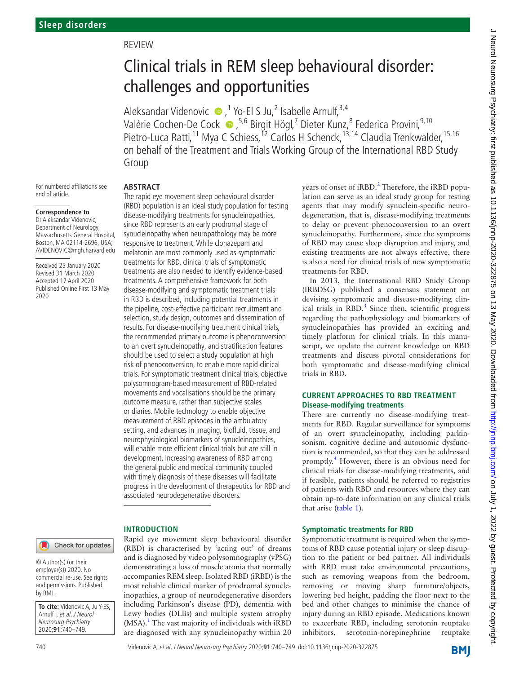### **REVIEW**

# Clinical trials in REM sleep behavioural disorder: challenges and opportunities

AleksandarVidenovic  $\bullet$ ,<sup>1</sup> Yo-El S Ju,<sup>2</sup> Isabelle Arnulf,<sup>3,4</sup> ValérieCochen-De Cock ●,<sup>5,6</sup> Birgit Högl,<sup>7</sup> Dieter Kunz,<sup>8</sup> Federica Provini,<sup>9,10</sup> Pietro-Luca Ratti,<sup>11</sup> Mya C Schiess, <sup>12</sup> Carlos H Schenck, <sup>13,14</sup> Claudia Trenkwalder, <sup>15,16</sup> on behalf of the Treatment and Trials Working Group of the International RBD Study Group

For numbered affiliations see end of article.

#### **Correspondence to**

Dr Aleksandar Videnovic, Department of Neurology, Massachusetts General Hospital, Boston, MA 02114-2696, USA; AVIDENOVIC@mgh.harvard.edu

Received 25 January 2020 Revised 31 March 2020 Accepted 17 April 2020 Published Online First 13 May 2020

#### **Abstract**

The rapid eye movement sleep behavioural disorder (RBD) population is an ideal study population for testing disease-modifying treatments for synucleinopathies, since RBD represents an early prodromal stage of synucleinopathy when neuropathology may be more responsive to treatment. While clonazepam and melatonin are most commonly used as symptomatic treatments for RBD, clinical trials of symptomatic treatments are also needed to identify evidence-based treatments. A comprehensive framework for both disease-modifying and symptomatic treatment trials in RBD is described, including potential treatments in the pipeline, cost-effective participant recruitment and selection, study design, outcomes and dissemination of results. For disease-modifying treatment clinical trials, the recommended primary outcome is phenoconversion to an overt synucleinopathy, and stratification features should be used to select a study population at high risk of phenoconversion, to enable more rapid clinical trials. For symptomatic treatment clinical trials, objective polysomnogram-based measurement of RBD-related movements and vocalisations should be the primary outcome measure, rather than subjective scales or diaries. Mobile technology to enable objective measurement of RBD episodes in the ambulatory setting, and advances in imaging, biofluid, tissue, and neurophysiological biomarkers of synucleinopathies, will enable more efficient clinical trials but are still in development. Increasing awareness of RBD among the general public and medical community coupled with timely diagnosis of these diseases will facilitate progress in the development of therapeutics for RBD and associated neurodegenerative disorders.

#### **Introduction**

#### Check for updates

© Author(s) (or their employer(s)) 2020. No commercial re-use. See rights and permissions. Published by BMJ.

**To cite:** Videnovic A, Ju Y-ES, Arnulf I, et al. J Neurol Neurosurg Psychiatry 2020;**91**:740–749.

Rapid eye movement sleep behavioural disorder (RBD) is characterised by 'acting out' of dreams and is diagnosed by video polysomnography (vPSG) demonstrating a loss of muscle atonia that normally accompanies REM sleep. Isolated RBD (iRBD) is the most reliable clinical marker of prodromal synucleinopathies, a group of neurodegenerative disorders including Parkinson's disease (PD), dementia with Lewy bodies (DLBs) and multiple system atrophy (MSA).<sup>1</sup> The vast majority of individuals with iRBD are diagnosed with any synucleinopathy within 20

years of onset of iRBD.<sup>[2](#page-6-1)</sup> Therefore, the iRBD population can serve as an ideal study group for testing agents that may modify synuclein-specific neurodegeneration, that is, disease-modifying treatments to delay or prevent phenoconversion to an overt synucleinopathy. Furthermore, since the symptoms of RBD may cause sleep disruption and injury, and existing treatments are not always effective, there is also a need for clinical trials of new symptomatic treatments for RBD.

In 2013, the International RBD Study Group (IRBDSG) published a consensus statement on devising symptomatic and disease-modifying clinical trials in RBD. $3$  Since then, scientific progress regarding the pathophysiology and biomarkers of synucleinopathies has provided an exciting and timely platform for clinical trials. In this manuscript, we update the current knowledge on RBD treatments and discuss pivotal considerations for both symptomatic and disease-modifying clinical trials in RBD.

#### **CURRENT APPROACHES TO RBD TREATMENT Disease-modifying treatments**

There are currently no disease-modifying treatments for RBD. Regular surveillance for symptoms of an overt synucleinopathy, including parkinsonism, cognitive decline and autonomic dysfunction is recommended, so that they can be addressed promptly[.4](#page-6-3) However, there is an obvious need for clinical trials for disease-modifying treatments, and if feasible, patients should be referred to registries of patients with RBD and resources where they can obtain up-to-date information on any clinical trials that arise ([table](#page-1-0) 1).

#### **Symptomatic treatments for RBD**

Symptomatic treatment is required when the symptoms of RBD cause potential injury or sleep disruption to the patient or bed partner. All individuals with RBD must take environmental precautions, such as removing weapons from the bedroom, removing or moving sharp furniture/objects, lowering bed height, padding the floor next to the bed and other changes to minimise the chance of injury during an RBD episode. Medications known to exacerbate RBD, including serotonin reuptake inhibitors, serotonin-norepinephrine reuptake

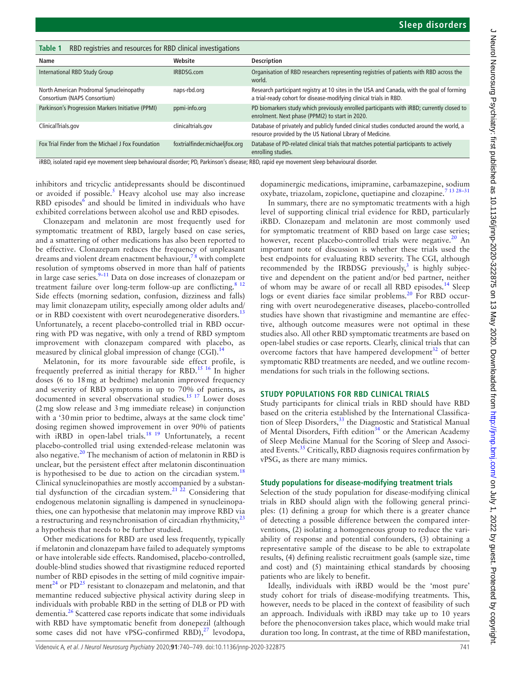<span id="page-1-0"></span>

| RBD registries and resources for RBD clinical investigations<br>Table 1  |                                |                                                                                                                                                                 |  |  |
|--------------------------------------------------------------------------|--------------------------------|-----------------------------------------------------------------------------------------------------------------------------------------------------------------|--|--|
| Name                                                                     | Website                        | <b>Description</b>                                                                                                                                              |  |  |
| International RBD Study Group                                            | IRBDSG.com                     | Organisation of RBD researchers representing registries of patients with RBD across the<br>world.                                                               |  |  |
| North American Prodromal Synucleinopathy<br>Consortium (NAPS Consortium) | naps-rbd.org                   | Research participant registry at 10 sites in the USA and Canada, with the goal of forming<br>a trial-ready cohort for disease-modifying clinical trials in RBD. |  |  |
| Parkinson's Progression Markers Initiative (PPMI)                        | ppmi-info.org                  | PD biomarkers study which previously enrolled participants with iRBD; currently closed to<br>enrolment. Next phase (PPMI2) to start in 2020.                    |  |  |
| ClinicalTrials.gov                                                       | clinicaltrials.gov             | Database of privately and publicly funded clinical studies conducted around the world, a<br>resource provided by the US National Library of Medicine.           |  |  |
| Fox Trial Finder from the Michael J Fox Foundation                       | foxtrialfinder.michaeljfox.org | Database of PD-related clinical trials that matches potential participants to actively<br>enrolling studies.                                                    |  |  |

iRBD, isolated rapid eye movement sleep behavioural disorder; PD, Parkinson's disease; RBD, rapid eye movement sleep behavioural disorder.

inhibitors and tricyclic antidepressants should be discontinued or avoided if possible.<sup>[5](#page-6-4)</sup> Heavy alcohol use may also increase  $RBD$  episodes<sup>[6](#page-7-0)</sup> and should be limited in individuals who have exhibited correlations between alcohol use and RBD episodes.

Clonazepam and melatonin are most frequently used for symptomatic treatment of RBD, largely based on case series, and a smattering of other medications has also been reported to be effective. Clonazepam reduces the frequency of unpleasant dreams and violent dream enactment behaviour,<sup>78</sup> with complete resolution of symptoms observed in more than half of patients in large case series.<sup>9–11</sup> Data on dose increases of clonazepam or treatment failure over long-term follow-up are conflicting. $8^{8}$  12 Side effects (morning sedation, confusion, dizziness and falls) may limit clonazepam utility, especially among older adults and/ or in RBD coexistent with overt neurodegenerative disorders.<sup>1</sup> Unfortunately, a recent placebo-controlled trial in RBD occurring with PD was negative, with only a trend of RBD symptom improvement with clonazepam compared with placebo, as measured by clinical global impression of change  $(CGI)$ .<sup>[14](#page-7-5)</sup>

Melatonin, for its more favourable side effect profile, is frequently preferred as initial therapy for RBD.<sup>15 16</sup> In higher doses (6 to 18mg at bedtime) melatonin improved frequency and severity of RBD symptoms in up to 70% of patients**,** as documented in several observational studies.[15 17](#page-7-6) Lower doses (2mg slow release and 3mg immediate release) in conjunction with a '30min prior to bedtime, always at the same clock time' dosing regimen showed improvement in over 90% of patients with iRBD in open-label trials.<sup>18</sup> <sup>19</sup> Unfortunately, a recent placebo-controlled trial using extended-release melatonin was also negative. $20$  The mechanism of action of melatonin in RBD is unclear, but the persistent effect after melatonin discontinuation is hypothesised to be due to action on the circadian system.<sup>[18](#page-7-7)</sup> Clinical synucleinopathies are mostly accompanied by a substan-tial dysfunction of the circadian system.<sup>[21 22](#page-7-9)</sup> Considering that endogenous melatonin signalling is dampened in synucleinopathies, one can hypothesise that melatonin may improve RBD via a restructuring and resynchronisation of circadian rhythmicity, $\frac{3}{2}$ a hypothesis that needs to be further studied.

Other medications for RBD are used less frequently, typically if melatonin and clonazepam have failed to adequately symptoms or have intolerable side effects. Randomised, placebo-controlled, double-blind studies showed that rivastigmine reduced reported number of RBD episodes in the setting of mild cognitive impair-ment<sup>[24](#page-7-11)</sup> or  $PD^{25}$  $PD^{25}$  $PD^{25}$  resistant to clonazepam and melatonin, and that memantine reduced subjective physical activity during sleep in individuals with probable RBD in the setting of DLB or PD with dementia.[26](#page-7-13) Scattered case reports indicate that some individuals with RBD have symptomatic benefit from donepezil (although some cases did not have vPSG-confirmed RBD), $^{27}$  $^{27}$  $^{27}$  levodopa,

dopaminergic medications, imipramine, carbamazepine, sodium oxybate, triazolam, zopiclone, quetiapine and clozapine.[7 13 28–31](#page-7-1)

In summary, there are no symptomatic treatments with a high level of supporting clinical trial evidence for RBD, particularly iRBD. Clonazepam and melatonin are most commonly used for symptomatic treatment of RBD based on large case series; however, recent placebo-controlled trials were negative.<sup>20</sup> An important note of discussion is whether these trials used the best endpoints for evaluating RBD severity. The CGI, although recommended by the IRBDSG previously, $3$  is highly subjective and dependent on the patient and/or bed partner, neither of whom may be aware of or recall all RBD episodes.<sup>[14](#page-7-5)</sup> Sleep logs or event diaries face similar problems.<sup>20</sup> For RBD occurring with overt neurodegenerative diseases, placebo-controlled studies have shown that rivastigmine and memantine are effective, although outcome measures were not optimal in these studies also. All other RBD symptomatic treatments are based on open-label studies or case reports. Clearly, clinical trials that can overcome factors that have hampered development $32$  of better symptomatic RBD treatments are needed, and we outline recommendations for such trials in the following sections.

#### **Study populations for RBD clinical trials**

Study participants for clinical trials in RBD should have RBD based on the criteria established by the International Classifica-tion of Sleep Disorders,<sup>[33](#page-7-16)</sup> the Diagnostic and Statistical Manual of Mental Disorders, Fifth edition<sup>34</sup> or the American Academy of Sleep Medicine Manual for the Scoring of Sleep and Associated Events.<sup>35</sup> Critically, RBD diagnosis requires confirmation by vPSG, as there are many mimics.

#### **Study populations for disease-modifying treatment trials**

Selection of the study population for disease-modifying clinical trials in RBD should align with the following general principles: (1) defining a group for which there is a greater chance of detecting a possible difference between the compared interventions, (2) isolating a homogeneous group to reduce the variability of response and potential confounders, (3) obtaining a representative sample of the disease to be able to extrapolate results, (4) defining realistic recruitment goals (sample size, time and cost) and (5) maintaining ethical standards by choosing patients who are likely to benefit.

Ideally, individuals with iRBD would be the 'most pure' study cohort for trials of disease-modifying treatments. This, however, needs to be placed in the context of feasibility of such an approach. Individuals with iRBD may take up to 10 years before the phenoconversion takes place, which would make trial duration too long. In contrast, at the time of RBD manifestation,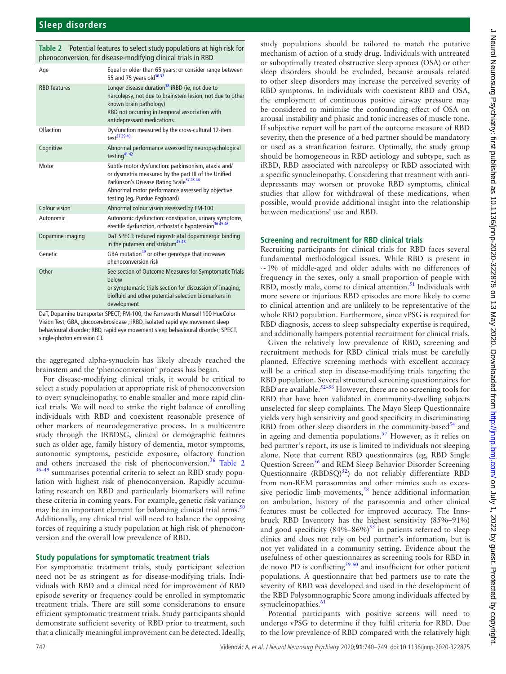<span id="page-2-0"></span>

| Table 2                                                       | Potential features to select study populations at high risk for |  |  |  |
|---------------------------------------------------------------|-----------------------------------------------------------------|--|--|--|
| phenoconversion, for disease-modifying clinical trials in RBD |                                                                 |  |  |  |

| Age                 | Equal or older than 65 years; or consider range between<br>55 and 75 years old <sup>36 37</sup>                                                                                                                                                          |
|---------------------|----------------------------------------------------------------------------------------------------------------------------------------------------------------------------------------------------------------------------------------------------------|
| <b>RBD</b> features | Longer disease duration <sup>38</sup> iRBD (ie, not due to<br>narcolepsy, not due to brainstem lesion, not due to other<br>known brain pathology)<br>RBD not occurring in temporal association with<br>antidepressant medications                        |
| Olfaction           | Dysfunction measured by the cross-cultural 12-item<br>test <sup>37</sup> 39 40                                                                                                                                                                           |
| Cognitive           | Abnormal performance assessed by neuropsychological<br>testing <sup>41</sup> 42                                                                                                                                                                          |
| Motor               | Subtle motor dysfunction: parkinsonism, ataxia and/<br>or dysmetria measured by the part III of the Unified<br>Parkinson's Disease Rating Scale <sup>37 43 44</sup><br>Abnormal motor performance assessed by objective<br>testing (eg, Purdue Pegboard) |
| Colour vision       | Abnormal colour vision assessed by FM-100                                                                                                                                                                                                                |
| Autonomic           | Autonomic dysfunction: constipation, urinary symptoms,<br>erectile dysfunction, orthostatic hypotension <sup>36 45 46</sup>                                                                                                                              |
| Dopamine imaging    | DaT SPECT: reduced nigrostriatal dopaminergic binding<br>in the putamen and striatum <sup>4748</sup>                                                                                                                                                     |
| Genetic             | GBA mutation <sup>49</sup> or other genotype that increases<br>phenoconversion risk                                                                                                                                                                      |
| Other               | See section of Outcome Measures for Symptomatic Trials<br>helow<br>or symptomatic trials section for discussion of imaging,<br>biofluid and other potential selection biomarkers in<br>development                                                       |
|                     |                                                                                                                                                                                                                                                          |

DaT, Dopamine transporter SPECT; FM-100, the Farnsworth Munsell 100 HueColor Vision Test; GBA, glucocerebrosidase ; iRBD, isolated rapid eye movement sleep behavioural disorder; RBD, rapid eye movement sleep behavioural disorder; SPECT, single-photon emission CT.

the aggregated alpha-synuclein has likely already reached the brainstem and the 'phenoconversion' process has began.

For disease-modifying clinical trials, it would be critical to select a study population at appropriate risk of phenoconversion to overt synucleinopathy, to enable smaller and more rapid clinical trials. We will need to strike the right balance of enrolling individuals with RBD and coexistent reasonable presence of other markers of neurodegenerative process. In a multicentre study through the IRBDSG, clinical or demographic features such as older age, family history of dementia, motor symptoms, autonomic symptoms, pesticide exposure, olfactory function and others increased the risk of phenoconversion.<sup>36</sup> [Table](#page-2-0) 2 <sup>[36–49](#page-7-19)</sup> summarises potential criteria to select an RBD study population with highest risk of phenoconversion. Rapidly accumulating research on RBD and particularly biomarkers will refine these criteria in coming years. For example, genetic risk variance may be an important element for balancing clinical trial arms.<sup>[50](#page-7-25)</sup> Additionally, any clinical trial will need to balance the opposing forces of requiring a study population at high risk of phenoconversion and the overall low prevalence of RBD.

#### **Study populations for symptomatic treatment trials**

For symptomatic treatment trials, study participant selection need not be as stringent as for disease-modifying trials. Individuals with RBD and a clinical need for improvement of RBD episode severity or frequency could be enrolled in symptomatic treatment trials. There are still some considerations to ensure efficient symptomatic treatment trials. Study participants should demonstrate sufficient severity of RBD prior to treatment, such that a clinically meaningful improvement can be detected. Ideally,

study populations should be tailored to match the putative mechanism of action of a study drug. Individuals with untreated or suboptimally treated obstructive sleep apnoea (OSA) or other sleep disorders should be excluded, because arousals related to other sleep disorders may increase the perceived severity of RBD symptoms. In individuals with coexistent RBD and OSA, the employment of continuous positive airway pressure may be considered to minimise the confounding effect of OSA on arousal instability and phasic and tonic increases of muscle tone. If subjective report will be part of the outcome measure of RBD severity, then the presence of a bed partner should be mandatory or used as a stratification feature. Optimally, the study group should be homogeneous in RBD aetiology and subtype, such as iRBD, RBD associated with narcolepsy or RBD associated with a specific synucleinopathy. Considering that treatment with antidepressants may worsen or provoke RBD symptoms, clinical studies that allow for withdrawal of these medications, when possible, would provide additional insight into the relationship between medications' use and RBD.

#### **Screening and recruitment for RBD clinical trials**

Recruiting participants for clinical trials for RBD faces several fundamental methodological issues. While RBD is present in  $\sim$ 1% of middle-aged and older adults with no differences of frequency in the sexes, only a small proportion of people with RBD, mostly male, come to clinical attention.<sup>51</sup> Individuals with more severe or injurious RBD episodes are more likely to come to clinical attention and are unlikely to be representative of the whole RBD population. Furthermore, since vPSG is required for RBD diagnosis, access to sleep subspecialty expertise is required, and additionally hampers potential recruitment for clinical trials.

Given the relatively low prevalence of RBD, screening and recruitment methods for RBD clinical trials must be carefully planned. Effective screening methods with excellent accuracy will be a critical step in disease-modifying trials targeting the RBD population. Several structured screening questionnaires for RBD are available.<sup>52–56</sup> However, there are no screening tools for RBD that have been validated in community-dwelling subjects unselected for sleep complaints. The Mayo Sleep Questionnaire yields very high sensitivity and good specificity in discriminating RBD from other sleep disorders in the community-based<sup>54</sup> and in ageing and dementia populations.<sup>[57](#page-7-29)</sup> However, as it relies on bed partner's report, its use is limited to individuals not sleeping alone. Note that current RBD questionnaires (eg, RBD Single Question Screen<sup>56</sup> and REM Sleep Behavior Disorder Screening Questionnaire (RBDSQ) $^{52}$  $^{52}$  $^{52}$ ) do not reliably differentiate RBD from non-REM parasomnias and other mimics such as excessive periodic limb movements, $58$  hence additional information on ambulation, history of the parasomnia and other clinical features must be collected for improved accuracy. The Innsbruck RBD Inventory has the highest sensitivity (85%–91%) and good specificity  $(84\% - 86\%)^{53}$  in patients referred to sleep clinics and does not rely on bed partner's information, but is not yet validated in a community setting. Evidence about the usefulness of other questionnaires as screening tools for RBD in de novo PD is conflicting $59\,60$  and insufficient for other patient populations. A questionnaire that bed partners use to rate the severity of RBD was developed and used in the development of the RBD Polysomnographic Score among individuals affected by synucleinopathies.<sup>61</sup>

Potential participants with positive screens will need to undergo vPSG to determine if they fulfil criteria for RBD. Due to the low prevalence of RBD compared with the relatively high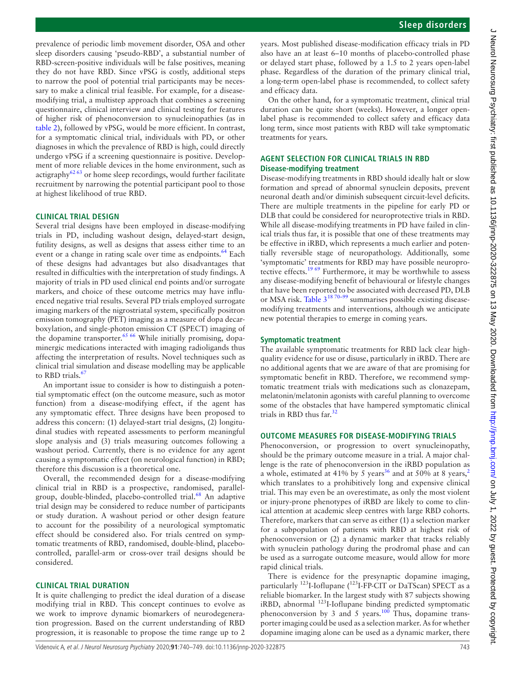prevalence of periodic limb movement disorder, OSA and other sleep disorders causing 'pseudo-RBD', a substantial number of RBD-screen-positive individuals will be false positives, meaning they do not have RBD. Since vPSG is costly, additional steps to narrow the pool of potential trial participants may be necessary to make a clinical trial feasible. For example, for a diseasemodifying trial, a multistep approach that combines a screening questionnaire, clinical interview and clinical testing for features of higher risk of phenoconversion to synucleinopathies (as in [table](#page-2-0) 2), followed by vPSG, would be more efficient. In contrast, for a symptomatic clinical trial, individuals with PD, or other diagnoses in which the prevalence of RBD is high, could directly undergo vPSG if a screening questionnaire is positive. Development of more reliable devices in the home environment, such as actigraphy $62\,63$  or home sleep recordings, would further facilitate recruitment by narrowing the potential participant pool to those at highest likelihood of true RBD.

#### **Clinical trial design**

Several trial designs have been employed in disease-modifying trials in PD, including washout design, delayed-start design, futility designs, as well as designs that assess either time to an event or a change in rating scale over time as endpoints.<sup>64</sup> Each of these designs had advantages but also disadvantages that resulted in difficulties with the interpretation of study findings. A majority of trials in PD used clinical end points and/or surrogate markers, and choice of these outcome metrics may have influenced negative trial results. Several PD trials employed surrogate imaging markers of the nigrostriatal system, specifically positron emission tomography (PET) imaging as a measure of dopa decarboxylation, and single-photon emission CT (SPECT) imaging of the dopamine transporter.<sup>65 66</sup> While initially promising, dopaminergic medications interacted with imaging radioligands thus affecting the interpretation of results. Novel techniques such as clinical trial simulation and disease modelling may be applicable to RBD trials.<sup>67</sup>

An important issue to consider is how to distinguish a potential symptomatic effect (on the outcome measure, such as motor function) from a disease-modifying effect, if the agent has any symptomatic effect. Three designs have been proposed to address this concern: (1) delayed-start trial designs, (2) longitudinal studies with repeated assessments to perform meaningful slope analysis and (3) trials measuring outcomes following a washout period. Currently, there is no evidence for any agent causing a symptomatic effect (on neurological function) in RBD; therefore this discussion is a theoretical one.

Overall, the recommended design for a disease-modifying clinical trial in RBD is a prospective, randomised, parallel-group, double-blinded, placebo-controlled trial.<sup>[68](#page-8-0)</sup> An adaptive trial design may be considered to reduce number of participants or study duration. A washout period or other design feature to account for the possibility of a neurological symptomatic effect should be considered also. For trials centred on symptomatic treatments of RBD, randomised, double-blind, placebocontrolled, parallel-arm or cross-over trail designs should be considered.

#### **Clinical trial duration**

It is quite challenging to predict the ideal duration of a disease modifying trial in RBD. This concept continues to evolve as we work to improve dynamic biomarkers of neurodegeneration progression. Based on the current understanding of RBD progression, it is reasonable to propose the time range up to 2

years. Most published disease-modification efficacy trials in PD also have an at least 6–10 months of placebo-controlled phase or delayed start phase, followed by a 1.5 to 2 years open-label phase. Regardless of the duration of the primary clinical trial, a long-term open-label phase is recommended, to collect safety and efficacy data.

On the other hand, for a symptomatic treatment, clinical trial duration can be quite short (weeks). However, a longer openlabel phase is recommended to collect safety and efficacy data long term, since most patients with RBD will take symptomatic treatments for years.

#### **Agent selection for clinical trials in RBD Disease-modifying treatment**

Disease-modifying treatments in RBD should ideally halt or slow formation and spread of abnormal synuclein deposits, prevent neuronal death and/or diminish subsequent circuit-level deficits. There are multiple treatments in the pipeline for early PD or DLB that could be considered for neuroprotective trials in RBD. While all disease-modifying treatments in PD have failed in clinical trials thus far, it is possible that one of these treatments may be effective in iRBD, which represents a much earlier and potentially reversible stage of neuropathology. Additionally, some 'symptomatic' treatments for RBD may have possible neuroprotective effects.[19 69](#page-7-39) Furthermore, it may be worthwhile to assess any disease-modifying benefit of behavioural or lifestyle changes that have been reported to be associated with decreased PD, DLB or MSA risk. [Table](#page-4-0) 3[18 70–99](#page-7-7) summarises possible existing diseasemodifying treatments and interventions, although we anticipate new potential therapies to emerge in coming years.

#### **Symptomatic treatment**

The available symptomatic treatments for RBD lack clear highquality evidence for use or disuse, particularly in iRBD. There are no additional agents that we are aware of that are promising for symptomatic benefit in RBD. Therefore, we recommend symptomatic treatment trials with medications such as clonazepam, melatonin/melatonin agonists with careful planning to overcome some of the obstacles that have hampered symptomatic clinical trials in RBD thus far.<sup>[32](#page-7-15)</sup>

#### **Outcome measures for disease-modifying trials**

Phenoconversion, or progression to overt synucleinopathy, should be the primary outcome measure in a trial. A major challenge is the rate of phenoconversion in the iRBD population as a whole, estimated at 41% by 5 years<sup>[36](#page-7-19)</sup> and at 50% at 8 years,<sup>[2](#page-6-1)</sup> which translates to a prohibitively long and expensive clinical trial. This may even be an overestimate, as only the most violent or injury-prone phenotypes of iRBD are likely to come to clinical attention at academic sleep centres with large RBD cohorts. Therefore, markers that can serve as either (1) a selection marker for a subpopulation of patients with RBD at highest risk of phenoconversion or (2) a dynamic marker that tracks reliably with synuclein pathology during the prodromal phase and can be used as a surrogate outcome measure, would allow for more rapid clinical trials.

There is evidence for the presynaptic dopamine imaging, particularly <sup>123</sup>I-Ioflupane (<sup>123</sup>I-FP-CIT or DaTScan) SPECT as a reliable biomarker. In the largest study with 87 subjects showing  $iRBD$ , abnormal  $123$ I-Ioflupane binding predicted symptomatic phenoconversion by 3 and 5 years.<sup>100</sup> Thus, dopamine transporter imaging could be used as a selection marker. As for whether dopamine imaging alone can be used as a dynamic marker, there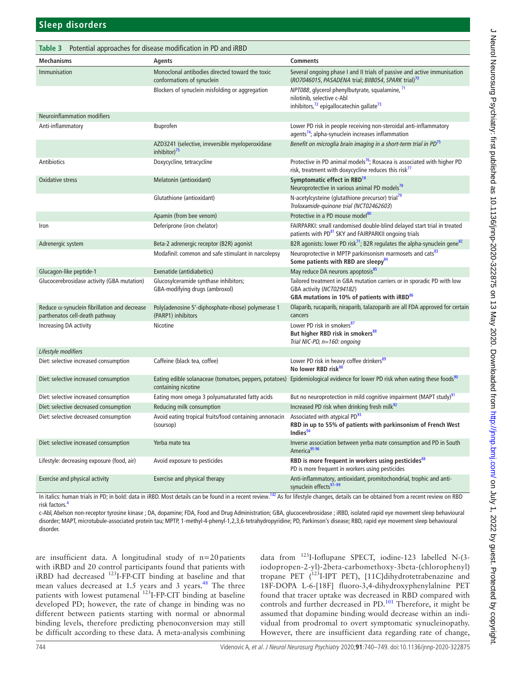<span id="page-4-0"></span>

| Potential approaches for disease modification in PD and iRBD<br>Table 3                |                                                                               |                                                                                                                                                                 |  |  |
|----------------------------------------------------------------------------------------|-------------------------------------------------------------------------------|-----------------------------------------------------------------------------------------------------------------------------------------------------------------|--|--|
| <b>Mechanisms</b>                                                                      | Agents                                                                        | <b>Comments</b>                                                                                                                                                 |  |  |
| Immunisation                                                                           | Monoclonal antibodies directed toward the toxic<br>conformations of synuclein | Several ongoing phase I and II trials of passive and active immunisation<br>(RO7046015, PASADENA trial; BIIB054, SPARK trial) <sup>70</sup>                     |  |  |
|                                                                                        | Blockers of synuclein misfolding or aggregation                               | NPT088, glycerol phenylbutyrate, squalamine, 71<br>nilotinib, selective c-Abl<br>inhibitors, <sup>72</sup> epigallocatechin gallate <sup>73</sup>               |  |  |
| <b>Neuroinflammation modifiers</b>                                                     |                                                                               |                                                                                                                                                                 |  |  |
| Anti-inflammatory                                                                      | Ibuprofen                                                                     | Lower PD risk in people receiving non-steroidal anti-inflammatory<br>agents <sup>74</sup> ; alpha-synuclein increases inflammation                              |  |  |
|                                                                                        | AZD3241 (selective, irreversible myeloperoxidase<br>inhibitor) <sup>75</sup>  | Benefit on microglia brain imaging in a short-term trial in PD <sup>75</sup>                                                                                    |  |  |
| Antibiotics                                                                            | Doxycycline, tetracycline                                                     | Protective in PD animal models <sup>76</sup> ; Rosacea is associated with higher PD<br>risk, treatment with doxycycline reduces this risk <sup>77</sup>         |  |  |
| Oxidative stress                                                                       | Melatonin (antioxidant)                                                       | Symptomatic effect in RBD <sup>18</sup><br>Neuroprotective in various animal PD models <sup>78</sup>                                                            |  |  |
|                                                                                        | Glutathione (antioxidant)                                                     | N-acetylcysteine (glutathione precursor) trial <sup>79</sup><br>Troloxamide-quinone trial (NCT02462603)                                                         |  |  |
|                                                                                        | Apamin (from bee venom)                                                       | Protective in a PD mouse model <sup>80</sup>                                                                                                                    |  |  |
| Iron                                                                                   | Deferiprone (iron chelator)                                                   | FAIRPARKI: small randomised double-blind delayed start trial in treated<br>patients with PD <sup>81</sup> SKY and FAIRPARKII ongoing trials                     |  |  |
| Adrenergic system                                                                      | Beta-2 adrenergic receptor (B2R) agonist                                      | B2R agonists: lower PD risk <sup>71</sup> ; B2R regulates the alpha-synuclein gene <sup>82</sup>                                                                |  |  |
|                                                                                        | Modafinil: common and safe stimulant in narcolepsy                            | Neuroprotective in MPTP parkinsonism marmosets and cats <sup>83</sup><br>Some patients with RBD are sleepy <sup>84</sup>                                        |  |  |
| Glucagon-like peptide-1                                                                | Exenatide (antidiabetics)                                                     | May reduce DA neurons apoptosis <sup>85</sup>                                                                                                                   |  |  |
| Glucocerebrosidase activity (GBA mutation)                                             | Glucosylceramide synthase inhibitors;<br>GBA-modifying drugs (ambroxol)       | Tailored treatment in GBA mutation carriers or in sporadic PD with low<br>GBA activity (NCT0294182)<br>GBA mutations in 10% of patients with iRBD <sup>86</sup> |  |  |
| Reduce $\alpha$ -synuclein fibrillation and decrease<br>parthenatos cell-death pathway | Poly(adenosine 5'-diphosphate-ribose) polymerase 1<br>(PARP1) inhibitors      | Olaparib, rucaparib, niraparib, talazoparib are all FDA approved for certain<br>cancers                                                                         |  |  |
| Increasing DA activity                                                                 | Nicotine                                                                      | Lower PD risk in smokers <sup>87</sup><br>But higher RBD risk in smokers <sup>88</sup><br>Trial NIC-PD, n=160: ongoing                                          |  |  |
| Lifestyle modifiers                                                                    |                                                                               |                                                                                                                                                                 |  |  |
| Diet: selective increased consumption                                                  | Caffeine (black tea, coffee)                                                  | Lower PD risk in heavy coffee drinkers <sup>89</sup><br>No lower RBD risk <sup>88</sup>                                                                         |  |  |
| Diet: selective increased consumption                                                  | Eating edible solanaceae (tomatoes, peppers, potatoes)<br>containing nicotine | Epidemiological evidence for lower PD risk when eating these foods <sup>90</sup>                                                                                |  |  |
| Diet: selective increased consumption                                                  | Eating more omega 3 polyunsaturated fatty acids                               | But no neuroprotection in mild cognitive impairment (MAPT study) <sup>91</sup>                                                                                  |  |  |
| Diet: selective decreased consumption                                                  | Reducing milk consumption                                                     | Increased PD risk when drinking fresh milk <sup>92</sup>                                                                                                        |  |  |
| Diet: selective decreased consumption                                                  | Avoid eating tropical fruits/food containing annonacin<br>(soursop)           | Associated with atypical PD <sup>93</sup><br>RBD in up to 55% of patients with parkinsonism of French West<br>Indies <sup>94</sup>                              |  |  |
| Diet: selective increased consumption                                                  | Yerba mate tea                                                                | Inverse association between yerba mate consumption and PD in South<br>America <sup>95</sup> 96                                                                  |  |  |
| Lifestyle: decreasing exposure (food, air)                                             | Avoid exposure to pesticides                                                  | RBD is more frequent in workers using pesticides <sup>88</sup><br>PD is more frequent in workers using pesticides                                               |  |  |
| Exercise and physical activity                                                         | Exercise and physical therapy                                                 | Anti-inflammatory, antioxidant, promitochondrial, trophic and anti-<br>synuclein effects <sup>97-99</sup>                                                       |  |  |

In italics: human trials in PD; in bold: data in iRBD. Most details can be found in a recent review.<sup>[142](#page-9-0)</sup> As for lifestyle changes, details can be obtained from a recent review on RBD risk factors.[4](#page-6-3)

c-Abl, Abelson non-receptor tyrosine kinase ; DA, dopamine; FDA, Food and Drug Administration; GBA, glucocerebrosidase ; iRBD, isolated rapid eye movement sleep behavioural disorder; MAPT, microtubule-associated protein tau; MPTP, 1-methyl-4-phenyl-1,2,3,6-tetrahydropyridine; PD, Parkinson's disease; RBD, rapid eye movement sleep behavioural disorder.

are insufficient data. A longitudinal study of  $n=20$  patients with iRBD and 20 control participants found that patients with iRBD had decreased 123I-FP-CIT binding at baseline and that mean values decreased at 1.5 years and 3 years.<sup>[48](#page-7-40)</sup> The three patients with lowest putamenal  $123$ I-FP-CIT binding at baseline developed PD; however, the rate of change in binding was no different between patients starting with normal or abnormal binding levels, therefore predicting phenoconversion may still be difficult according to these data. A meta-analysis combining data from 123I-Ioflupane SPECT, iodine-123 labelled N-(3 iodopropen-2-yl)-2beta-carbomethoxy-3beta-(chlorophenyl) tropane PET (<sup>123</sup>I-IPT PET), [11C]dihydrotetrabenazine and 18F-DOPA L-6-[18F] fluoro-3,4-dihydroxyphenylalnine PET found that tracer uptake was decreased in RBD compared with controls and further decreased in PD.<sup>101</sup> Therefore, it might be assumed that dopamine binding would decrease within an individual from prodromal to overt symptomatic synucleinopathy. However, there are insufficient data regarding rate of change,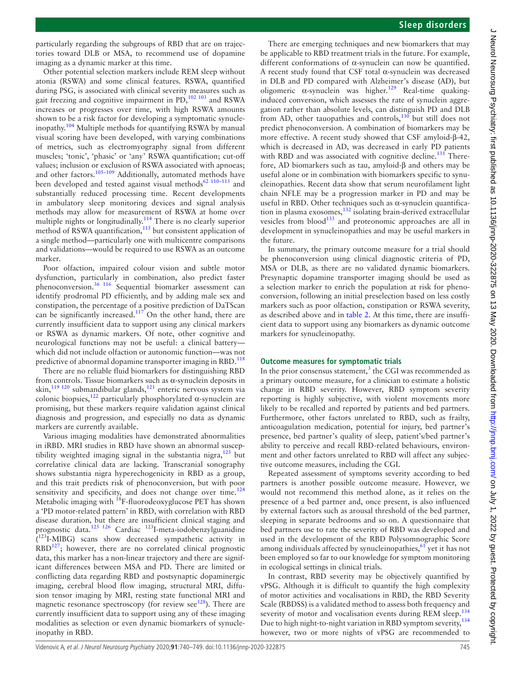particularly regarding the subgroups of RBD that are on trajectories toward DLB or MSA, to recommend use of dopamine imaging as a dynamic marker at this time.

Other potential selection markers include REM sleep without atonia (RSWA) and some clinical features. RSWA, quantified during PSG, is associated with clinical severity measures such as gait freezing and cognitive impairment in  $PD<sub>1</sub><sup>102 103</sup>$  and RSWA increases or progresses over time, with high RSWA amounts shown to be a risk factor for developing a symptomatic synucleinopathy.[104](#page-8-31) Multiple methods for quantifying RSWA by manual visual scoring have been developed, with varying combinations of metrics, such as electromyography signal from different muscles; 'tonic', 'phasic' or 'any' RSWA quantification; cut-off values; inclusion or exclusion of RSWA associated with apnoeas; and other factors.<sup>105-109</sup> Additionally, automated methods have been developed and tested against visual methods<sup>62 110–113</sup> and substantially reduced processing time. Recent developments in ambulatory sleep monitoring devices and signal analysis methods may allow for measurement of RSWA at home over multiple nights or longitudinally.<sup>114</sup> There is no clearly superior method of  $\overline{RSWA}$  quantification,<sup>115</sup> but consistent application of a single method—particularly one with multicentre comparisons and validations—would be required to use RSWA as an outcome marker.

Poor olfaction, impaired colour vision and subtle motor dysfunction, particularly in combination, also predict faster phenoconversion.[36 116](#page-7-19) Sequential biomarker assessment can identify prodromal PD efficiently, and by adding male sex and constipation, the percentage of a positive prediction of DaTScan can be significantly increased.<sup>117</sup> On the other hand, there are currently insufficient data to support using any clinical markers or RSWA as dynamic markers. Of note, other cognitive and neurological functions may not be useful: a clinical battery which did not include olfaction or autonomic function—was not predictive of abnormal dopamine transporter imaging in RBD.<sup>[118](#page-8-36)</sup>

There are no reliable fluid biomarkers for distinguishing RBD from controls. Tissue biomarkers such as  $\alpha$ -synuclein deposits in skin, $119$  120 submandibular glands, $121$  enteric nervous system via colonic biopsies[,122](#page-8-39) particularly phosphorylated α-synuclein are promising, but these markers require validation against clinical diagnosis and progression, and especially no data as dynamic markers are currently available.

Various imaging modalities have demonstrated abnormalities in iRBD. MRI studies in RBD have shown an abnormal susceptibility weighted imaging signal in the substantia nigra, $123$  but correlative clinical data are lacking. Transcranial sonography shows substantia nigra hyperechogenicity in RBD as a group, and this trait predicts risk of phenoconversion, but with poor sensitivity and specificity, and does not change over time.<sup>[124](#page-8-41)</sup> Metabolic imaging with <sup>18</sup>F-fluorodeoxyglucose PET has shown a 'PD motor-related pattern' in RBD, with correlation with RBD disease duration, but there are insufficient clinical staging and prognostic data.[125 126](#page-8-42) Cardiac 123I-meta-iodobenzylguanidine (<sup>123</sup>I-MIBG) scans show decreased sympathetic activity in  $RBD<sup>127</sup>$ ; however, there are no correlated clinical prognostic data, this marker has a non-linear trajectory and there are significant differences between MSA and PD. There are limited or conflicting data regarding RBD and postsynaptic dopaminergic imaging, cerebral blood flow imaging, structural MRI, diffusion tensor imaging by MRI, resting state functional MRI and magnetic resonance spectroscopy (for review see $^{128}$  $^{128}$  $^{128}$ ). There are currently insufficient data to support using any of these imaging modalities as selection or even dynamic biomarkers of synucleinopathy in RBD.

There are emerging techniques and new biomarkers that may be applicable to RBD treatment trials in the future. For example, different conformations of α-synuclein can now be quantified. A recent study found that CSF total α-synuclein was decreased in DLB and PD compared with Alzheimer's disease (AD), but oligomeric α-synuclein was higher.[129](#page-9-3) Real-time quakinginduced conversion, which assesses the rate of synuclein aggregation rather than absolute levels, can distinguish PD and DLB from AD, other tauopathies and controls,  $\frac{130}{130}$  but still does not predict phenoconversion. A combination of biomarkers may be more effective. A recent study showed that CSF amyloid-β-42, which is decreased in AD, was decreased in early PD patients with RBD and was associated with cognitive decline.<sup>131</sup> Therefore, AD biomarkers such as tau, amyloid-β and others may be useful alone or in combination with biomarkers specific to synucleinopathies. Recent data show that serum neurofilament light chain NFLE may be a progression marker in PD and may be useful in RBD. Other techniques such as  $α$ -synuclein quantification in plasma exosomes,<sup>132</sup> isolating brain-derived extracellular vesicles from blood<sup>[133](#page-9-7)</sup> and proteonomic approaches are all in development in synucleinopathies and may be useful markers in the future.

In summary, the primary outcome measure for a trial should be phenoconversion using clinical diagnostic criteria of PD, MSA or DLB, as there are no validated dynamic biomarkers. Presynaptic dopamine transporter imaging should be used as a selection marker to enrich the population at risk for phenoconversion, following an initial preselection based on less costly markers such as poor olfaction, constipation or RSWA severity, as described above and in [table](#page-2-0) 2. At this time, there are insufficient data to support using any biomarkers as dynamic outcome markers for synucleinopathy.

#### **Outcome measures for symptomatic trials**

In the prior consensus statement, $3$  the CGI was recommended as a primary outcome measure, for a clinician to estimate a holistic change in RBD severity. However, RBD symptom severity reporting is highly subjective, with violent movements more likely to be recalled and reported by patients and bed partners. Furthermore, other factors unrelated to RBD, such as frailty, anticoagulation medication, potential for injury, bed partner's presence, bed partner's quality of sleep, patient's/bed partner's ability to perceive and recall RBD-related behaviours, environment and other factors unrelated to RBD will affect any subjective outcome measures, including the CGI.

Repeated assessment of symptoms severity according to bed partners is another possible outcome measure. However, we would not recommend this method alone, as it relies on the presence of a bed partner and, once present, is also influenced by external factors such as arousal threshold of the bed partner, sleeping in separate bedrooms and so on. A questionnaire that bed partners use to rate the severity of RBD was developed and used in the development of the RBD Polysomnographic Score among individuals affected by synucleinopathies, $61$  yet it has not been employed so far to our knowledge for symptom monitoring in ecological settings in clinical trials.

In contrast, RBD severity may be objectively quantified by vPSG. Although it is difficult to quantify the high complexity of motor activities and vocalisations in RBD, the RBD Severity Scale (RBDSS) is a validated method to assess both frequency and severity of motor and vocalisation events during REM sleep.<sup>[134](#page-9-8)</sup> Due to high night-to-night variation in RBD symptom severity[,134](#page-9-8) however, two or more nights of vPSG are recommended to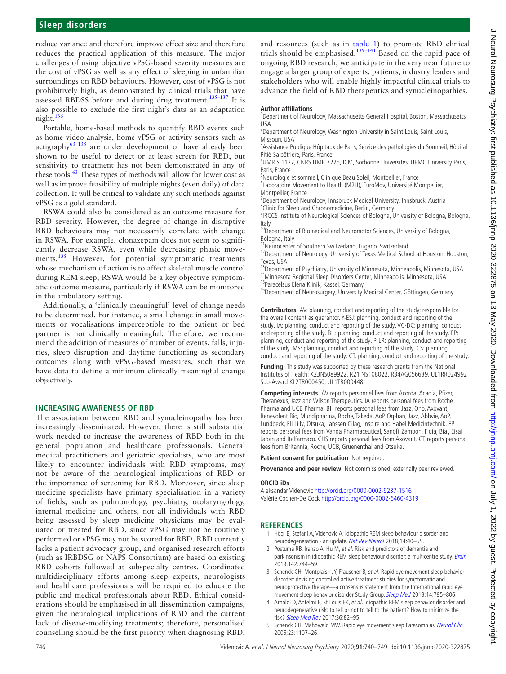reduce variance and therefore improve effect size and therefore reduces the practical application of this measure. The major challenges of using objective vPSG-based severity measures are the cost of vPSG as well as any effect of sleeping in unfamiliar surroundings on RBD behaviours. However, cost of vPSG is not prohibitively high, as demonstrated by clinical trials that have assessed RBDSS before and during drug treatment.<sup>135-137</sup> It is also possible to exclude the first night's data as an adaptation night.[136](#page-9-10)

Portable, home-based methods to quantify RBD events such as home video analysis, home vPSG or activity sensors such as actigraphy<sup>63 138</sup> are under development or have already been shown to be useful to detect or at least screen for RBD**,** but sensitivity to treatment has not been demonstrated in any of these tools. $63$  These types of methods will allow for lower cost as well as improve feasibility of multiple nights (even daily) of data collection. It will be critical to validate any such methods against vPSG as a gold standard.

RSWA could also be considered as an outcome measure for RBD severity. However, the degree of change in disruptive RBD behaviours may not necessarily correlate with change in RSWA. For example, clonazepam does not seem to significantly decrease RSWA, even while decreasing phasic move-ments.<sup>[135](#page-9-9)</sup> However, for potential symptomatic treatments whose mechanism of action is to affect skeletal muscle control during REM sleep, RSWA would be a key objective symptomatic outcome measure, particularly if RSWA can be monitored in the ambulatory setting.

Additionally, a 'clinically meaningful' level of change needs to be determined. For instance, a small change in small movements or vocalisations imperceptible to the patient or bed partner is not clinically meaningful. Therefore, we recommend the addition of measures of number of events, falls, injuries, sleep disruption and daytime functioning as secondary outcomes along with vPSG-based measures, such that we have data to define a minimum clinically meaningful change objectively.

#### **INCREASING AWARENESS OF RBD**

The association between RBD and synucleinopathy has been increasingly disseminated. However, there is still substantial work needed to increase the awareness of RBD both in the general population and healthcare professionals. General medical practitioners and geriatric specialists, who are most likely to encounter individuals with RBD symptoms, may not be aware of the neurological implications of RBD or the importance of screening for RBD. Moreover, since sleep medicine specialists have primary specialisation in a variety of fields, such as pulmonology, psychiatry, otolaryngology, internal medicine and others, not all individuals with RBD being assessed by sleep medicine physicians may be evaluated or treated for RBD, since vPSG may not be routinely performed or vPSG may not be scored for RBD. RBD currently lacks a patient advocacy group, and organised research efforts (such as IRBDSG or NAPS Consortium) are based on existing RBD cohorts followed at subspecialty centres. Coordinated multidisciplinary efforts among sleep experts, neurologists and healthcare professionals will be required to educate the public and medical professionals about RBD. Ethical considerations should be emphasised in all dissemination campaigns, given the neurological implications of RBD and the current lack of disease-modifying treatments; therefore, personalised counselling should be the first priority when diagnosing RBD,

and resources (such as in [table](#page-1-0) 1) to promote RBD clinical trials should be emphasised.<sup>139-141</sup> Based on the rapid pace of ongoing RBD research, we anticipate in the very near future to engage a larger group of experts, patients, industry leaders and stakeholders who will enable highly impactful clinical trials to advance the field of RBD therapeutics and synucleinopathies.

#### **Author affiliations**

<sup>1</sup>Department of Neurology, Massachusetts General Hospital, Boston, Massachusetts, USA

<sup>2</sup> Department of Neurology, Washington University in Saint Louis, Saint Louis, Missouri, USA

3 Assistance Publique Hôpitaux de Paris, Service des pathologies du Sommeil, Hôpital Pitié-Salpêtrière, Paris, France

4 UMR S 1127, CNRS UMR 7225, ICM, Sorbonne Universités, UPMC University Paris, Paris, France

<sup>5</sup>Neurologie et sommeil, Clinique Beau Soleil, Montpellier, France

<sup>6</sup>Laboratoire Movement to Health (M2H), EuroMov, Université Montpellier, Montpellier, France

 $\frac{7}{2}$ Department of Neurology, Innsbruck Medical University, Innsbruck, Austria <sup>8</sup>Clinic for Sleep and Chronomedicine, Berlin, Germany

9 IRCCS Institute of Neurological Sciences of Bologna, University of Bologna, Bologna, Italy

<sup>10</sup>Department of Biomedical and Neuromotor Sciences, University of Bologna,

Bologna, Italy<br><sup>11</sup>Neurocenter of Southern Switzerland, Lugano, Switzerland

<sup>12</sup>Department of Neurology, University of Texas Medical School at Houston, Houston, Texas, USA

<sup>3</sup>Department of Psychiatry, University of Minnesota, Minneapolis, Minnesota, USA <sup>14</sup>Minnesota Regional Sleep Disorders Center, Minneapolis, Minnesota, USA<br><sup>15</sup>Paracelsus Elena Klinik, Kassel, Germany

<sup>16</sup>Department of Neurosurgery, University Medical Center, Göttingen, Germany

**Contributors** AV: planning, conduct and reporting of the study; responsible for the overall content as guarantor. Y-ESJ: planning, conduct and reporting of the study. IA: planning, conduct and reporting of the study. VC-DC: planning, conduct and reporting of the study. BH: planning, conduct and reporting of the study. FP: planning, conduct and reporting of the study. P-LR: planning, conduct and reporting of the study. MS: planning, conduct and reporting of the study. CS: planning, conduct and reporting of the study. CT: planning, conduct and reporting of the study.

**Funding** This study was supported by these research grants from the National Institutes of Health: K23NS089922, R21 NS108022, R34AG056639, UL1RR024992 Sub-Award KL2TR000450, UL1TR000448.

**Competing interests** AV reports personnel fees from Acorda, Acadia, Pfizer, Theranexus, Jazz and Wilson Therapeutics. IA reports personal fees from Roche Pharma and UCB Pharma. BH reports personal fees from Jazz, Ono, Axovant, Benevolent Bio, Mundipharma, Roche, Takeda, AoP Orphan, Jazz, Abbvie, AoP, Lundbeck, Eli Lilly, Otsuka, Janssen Cilag, Inspire and Habel Medizintechnik. FP reports personal fees from Vanda Pharmaceutical, Sanofi, Zambon, Fidia, Bial, Eisai Japan and Italfarmaco. CHS reports personal fees from Axovant. CT reports personal fees from Britannia, Roche, UCB, Gruenenthal and Otsuka.

**Patient consent for publication** Not required.

**Provenance and peer review** Not commissioned; externally peer reviewed.

#### **ORCID iDs**

Aleksandar Videnovic<http://orcid.org/0000-0002-9237-1516> Valérie Cochen-De Cock<http://orcid.org/0000-0002-6460-4319>

#### **References**

- <span id="page-6-0"></span>1 Högl B, Stefani A, Videnovic A. Idiopathic REM sleep behaviour disorder and neurodegeneration - an update. [Nat Rev Neurol](http://dx.doi.org/10.1038/nrneurol.2017.157) 2018;14:40-55.
- <span id="page-6-1"></span>2 Postuma RB, Iranzo A, Hu M, et al. Risk and predictors of dementia and parkinsonism in idiopathic REM sleep behaviour disorder: a multicentre study. [Brain](http://dx.doi.org/10.1093/brain/awz030) 2019;142:744–59.
- <span id="page-6-2"></span>3 Schenck CH, Montplaisir JY, Frauscher B, et al. Rapid eye movement sleep behavior disorder: devising controlled active treatment studies for symptomatic and neuroprotective therapy—a consensus statement from the International rapid eye movement sleep behavior disorder Study Group. [Sleep Med](http://dx.doi.org/10.1016/j.sleep.2013.02.016) 2013;14:795-806.
- <span id="page-6-3"></span>4 Arnaldi D, Antelmi E, St Louis EK, et al. Idiopathic REM sleep behavior disorder and neurodegenerative risk: to tell or not to tell to the patient? How to minimize the risk? [Sleep Med Rev](http://dx.doi.org/10.1016/j.smrv.2016.11.002) 2017;36:82–95.
- <span id="page-6-4"></span>5 Schenck CH, Mahowald MW. Rapid eye movement sleep Parasomnias. [Neurol Clin](http://dx.doi.org/10.1016/j.ncl.2005.06.002) 2005;23:1107–26.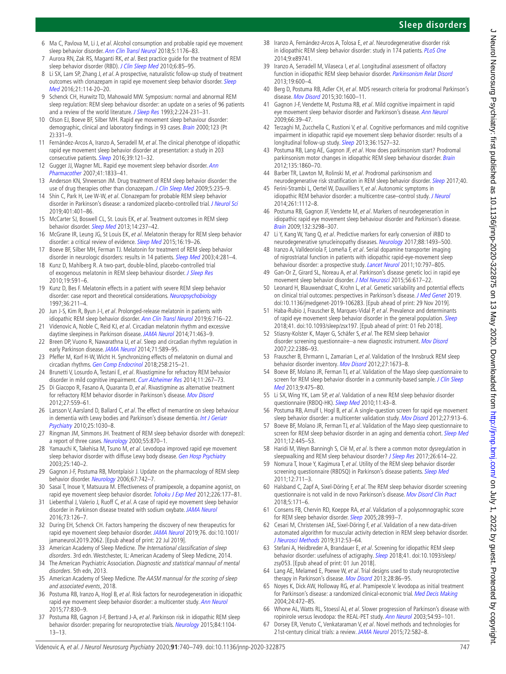- <span id="page-7-0"></span>6 Ma C, Pavlova M, Li J, et al. Alcohol consumption and probable rapid eye movement sleep behavior disorder. [Ann Clin Transl Neurol](http://dx.doi.org/10.1002/acn3.630) 2018;5:1176-83.
- <span id="page-7-1"></span>Aurora RN, Zak RS, Maganti RK, et al. Best practice guide for the treatment of REM sleep behavior disorder (RBD). [J Clin Sleep Med](http://www.ncbi.nlm.nih.gov/pubmed/http://www.ncbi.nlm.nih.gov/pubmed/20191945) 2010;6:85-95.
- <span id="page-7-3"></span>8 Li SX, Lam SP, Zhang J, et al. A prospective, naturalistic follow-up study of treatment outcomes with clonazepam in rapid eye movement sleep behavior disorder. Sleep [Med](http://dx.doi.org/10.1016/j.sleep.2015.12.020) 2016;21:114-20–20.
- <span id="page-7-2"></span>9 Schenck CH, Hurwitz TD, Mahowald MW. Symposium: normal and abnormal REM sleep regulation: REM sleep behaviour disorder: an update on a series of 96 patients and a review of the world literature. [J Sleep Res](http://dx.doi.org/10.1111/j.1365-2869.1993.tb00093.x) 1993;2:224-231-31.
- 10 Olson EJ, Boeve BF, Silber MH. Rapid eye movement sleep behaviour disorder: demographic, clinical and laboratory findings in 93 cases. [Brain](http://dx.doi.org/10.1093/brain/123.2.331) 2000;123 (Pt 2):331–9.
- 11 Fernández-Arcos A, Iranzo A, Serradell M, et al. The clinical phenotype of idiopathic rapid eye movement sleep behavior disorder at presentation: a study in 203 consecutive patients. [Sleep](http://dx.doi.org/10.5665/sleep.5332) 2016;39:121-32.
- 12 Gugger JJ, Wagner ML. Rapid eye movement sleep behavior disorder. Ann [Pharmacother](http://dx.doi.org/10.1345/aph.1H587) 2007;41:1833–41.
- <span id="page-7-4"></span>13 Anderson KN, Shneerson JM. Drug treatment of REM sleep behavior disorder: the use of drug therapies other than clonazepam. [J Clin Sleep Med](http://dx.doi.org/10.5664/jcsm.27492) 2009;5:235-9.
- <span id="page-7-5"></span>14 Shin C, Park H, Lee W-W, et al. Clonazepam for probable REM sleep behavior disorder in Parkinson's disease: a randomized placebo-controlled trial. [J Neurol Sci](http://dx.doi.org/10.1016/j.jns.2019.04.029) 2019;401:401–86.
- <span id="page-7-6"></span>15 McCarter SJ, Boswell CL, St. Louis EK, et al. Treatment outcomes in REM sleep behavior disorder. [Sleep Med](http://dx.doi.org/10.1016/j.sleep.2012.09.018) 2013;14:237-42.
- 16 McGrane IR, Leung JG, St Louis EK, et al. Melatonin therapy for REM sleep behavior disorder: a critical review of evidence. [Sleep Med](http://dx.doi.org/10.1016/j.sleep.2014.09.011) 2015;16:19-26.
- 17 Boeve BF, Silber MH, Ferman TJ. Melatonin for treatment of REM sleep behavior disorder in neurologic disorders: results in 14 patients. [Sleep Med](http://dx.doi.org/10.1016/S1389-9457(03)00072-8) 2003;4:281-4.
- <span id="page-7-7"></span>Kunz D, Mahlberg R. A two-part, double-blind, placebo-controlled trial of exogenous melatonin in REM sleep behaviour disorder. [J Sleep Res](http://dx.doi.org/10.1111/j.1365-2869.2010.00848.x) 2010;19:591–6.
- <span id="page-7-39"></span>19 Kunz D, Bes F. Melatonin effects in a patient with severe REM sleep behavior disorder: case report and theoretical considerations. [Neuropsychobiology](http://dx.doi.org/10.1159/000119383) 1997;36:211–4.
- <span id="page-7-8"></span>20 Jun J-S, Kim R, Byun J-I, et al. Prolonged-release melatonin in patients with idiopathic REM sleep behavior disorder. [Ann Clin Transl Neurol](http://dx.doi.org/10.1002/acn3.753) 2019;6:716-22.
- <span id="page-7-9"></span>21 Videnovic A, Noble C, Reid KJ, et al. Circadian melatonin rhythm and excessive daytime sleepiness in Parkinson disease. [JAMA Neurol](http://dx.doi.org/10.1001/jamaneurol.2013.6239) 2014;71:463-9.
- 22 Breen DP, Vuono R, Nawarathna U, et al. Sleep and circadian rhythm regulation in early Parkinson disease. [JAMA Neurol](http://dx.doi.org/10.1001/jamaneurol.2014.65) 2014;71:589–95.
- <span id="page-7-10"></span>23 Pfeffer M, Korf H-W, Wicht H. Synchronizing effects of melatonin on diurnal and circadian rhythms. [Gen Comp Endocrinol](http://dx.doi.org/10.1016/j.ygcen.2017.05.013) 2018;258:215–21.
- <span id="page-7-11"></span>24 Brunetti V, Losurdo A, Testani E, et al. Rivastigmine for refractory REM behavior disorder in mild cognitive impairment. [Curr Alzheimer Res](http://dx.doi.org/10.2174/1567205011666140302195648) 2014;11:267–73.
- <span id="page-7-12"></span>25 Di Giacopo R, Fasano A, Quaranta D, et al. Rivastigmine as alternative treatment for refractory REM behavior disorder in Parkinson's disease. [Mov Disord](http://dx.doi.org/10.1002/mds.24909) 2012;27:559–61.
- <span id="page-7-13"></span>26 Larsson V, Aarsland D, Ballard C, et al. The effect of memantine on sleep behaviour in dementia with Lewy bodies and Parkinson's disease dementia. Int J Geriatr [Psychiatry](http://dx.doi.org/10.1002/gps.2506) 2010;25:1030–8.
- <span id="page-7-14"></span>27 Ringman JM, Simmons JH. Treatment of REM sleep behavior disorder with donepezil: a report of three cases. [Neurology](http://dx.doi.org/10.1212/WNL.55.6.870) 2000;55:870-1.
- 28 Yamauchi K, Takehisa M, Tsuno M, et al. Levodopa improved rapid eye movement sleep behavior disorder with diffuse Lewy body disease. [Gen Hosp Psychiatry](http://dx.doi.org/10.1016/S0163-8343(03)00003-3) 2003;25:140–2.
- 29 Gagnon J-F, Postuma RB, Montplaisir J. Update on the pharmacology of REM sleep behavior disorder. *[Neurology](http://dx.doi.org/10.1212/01.wnl.0000233926.47469.73)* 2006;67:742-7.
- 30 Sasai T, Inoue Y, Matsuura M. Effectiveness of pramipexole, a dopamine agonist, on rapid eye movement sleep behavior disorder. *[Tohoku J Exp Med](http://dx.doi.org/10.1620/tjem.226.177)* 2012:226:177–81.
- 31 Liebenthal J, Valerio J, Ruoff C, et al. A case of rapid eye movement sleep behavior disorder in Parkinson disease treated with sodium oxybate. [JAMA Neurol](http://dx.doi.org/10.1001/jamaneurol.2015.2904) 2016;73:126–7.
- <span id="page-7-15"></span>32 During EH, Schenck CH. Factors hampering the discovery of new therapeutics for rapid eye movement sleep behavior disorder. [JAMA Neurol](http://dx.doi.org/10.1001/jamaneurol.2019.2062) 2019;76. doi:10.1001/ jamaneurol.2019.2062. [Epub ahead of print: 22 Jul 2019].
- <span id="page-7-16"></span>33 American Academy of Sleep Medicne. The International classification of sleep disorders. 3rd edn. Westchester, IL: American Academy of Sleep Medicne, 2014.
- <span id="page-7-17"></span>34 The American Psychiatric Association. Diagnostic and statistical mannaul of mental disorders. 5th edn, 2013.
- <span id="page-7-18"></span>35 American Academy of Sleep Medicne. The AASM mannual for the scoring of sleep and associated events, 2018.
- <span id="page-7-19"></span>36 Postuma RB, Iranzo A, Hogl B, et al. Risk factors for neurodegeneration in idiopathic rapid eye movement sleep behavior disorder: a multicenter study. [Ann Neurol](http://dx.doi.org/10.1002/ana.24385) 2015;77:830–9.
- <span id="page-7-21"></span>37 Postuma RB, Gagnon J-F, Bertrand J-A, et al. Parkinson risk in idiopathic REM sleep behavior disorder: preparing for neuroprotective trials. [Neurology](http://dx.doi.org/10.1212/WNL.0000000000001364) 2015;84:1104-13–13.
- <span id="page-7-20"></span>38 Iranzo A, Fernández-Arcos A, Tolosa E, et al. Neurodegenerative disorder risk in idiopathic REM sleep behavior disorder: study in 174 patients. [PLoS One](http://dx.doi.org/10.1371/journal.pone.0089741) 2014;9:e89741.
- 39 Iranzo A, Serradell M, Vilaseca I, et al. Longitudinal assessment of olfactory function in idiopathic REM sleep behavior disorder. [Parkinsonism Relat Disord](http://dx.doi.org/10.1016/j.parkreldis.2013.02.009) 2013;19:600–4.
- 40 Berg D, Postuma RB, Adler CH, et al. MDS research criteria for prodromal Parkinson's disease. [Mov Disord](http://dx.doi.org/10.1002/mds.26431) 2015;30:1600–11.
- <span id="page-7-22"></span>41 Gagnon J-F, Vendette M, Postuma RB, et al. Mild cognitive impairment in rapid eye movement sleep behavior disorder and Parkinson's disease. [Ann Neurol](http://dx.doi.org/10.1002/ana.21680) 2009;66:39–47.
- 42 Terzaghi M, Zucchella C, Rustioni V, et al. Cognitive performances and mild cognitive impairment in idiopathic rapid eye movement sleep behavior disorder: results of a longitudinal follow-up study. [Sleep](http://dx.doi.org/10.5665/sleep.3050) 2013;36:1527-32.
- 43 Postuma RB, Lang AE, Gagnon JF, et al. How does parkinsonism start? Prodromal parkinsonism motor changes in idiopathic REM sleep behaviour disorder. [Brain](http://dx.doi.org/10.1093/brain/aws093) 2012;135:1860–70.
- 44 Barber TR, Lawton M, Rolinski M, et al. Prodromal parkinsonism and neurodegenerative risk stratification in REM sleep behavior disorder. [Sleep](http://dx.doi.org/10.1093/sleep/zsx071) 2017;40.
- 45 Ferini-Strambi L, Oertel W, Dauvilliers Y, et al. Autonomic symptoms in idiopathic REM behavior disorder: a multicentre case–control study. *[J Neurol](http://dx.doi.org/10.1007/s00415-014-7317-8)* 2014;261:1112–8.
- 46 Postuma RB, Gagnon JF, Vendette M, et al. Markers of neurodegeneration in idiopathic rapid eye movement sleep behaviour disorder and Parkinson's disease. [Brain](http://dx.doi.org/10.1093/brain/awp244) 2009;132:3298–307.
- <span id="page-7-23"></span>47 Li Y, Kang W, Yang Q, et al. Predictive markers for early conversion of iRBD to neurodegenerative synucleinopathy diseases. [Neurology](http://dx.doi.org/10.1212/WNL.0000000000003838) 2017;88:1493-500.
- <span id="page-7-40"></span>48 Iranzo A, Valldeoriola F, Lomeña F, et al. Serial dopamine transporter imaging of nigrostriatal function in patients with idiopathic rapid-eye-movement sleep behaviour disorder: a prospective study. [Lancet Neurol](http://dx.doi.org/10.1016/S1474-4422(11)70152-1) 2011;10:797-805.
- <span id="page-7-24"></span>49 Gan-Or Z, Girard SL, Noreau A, et al. Parkinson's disease genetic loci in rapid eye movement sleep behavior disorder. [J Mol Neurosci](http://dx.doi.org/10.1007/s12031-015-0569-7) 2015;56:617-22.
- <span id="page-7-25"></span>50 Leonard H, Blauwendraat C, Krohn L, et al. Genetic variability and potential effects on clinical trial outcomes: perspectives in Parkinson's disease. [J Med Genet](http://dx.doi.org/10.1136/jmedgenet-2019-106283) 2019. doi:10.1136/jmedgenet-2019-106283. [Epub ahead of print: 29 Nov 2019].
- <span id="page-7-26"></span>51 Haba-Rubio J, Frauscher B, Marques-Vidal P, et al. Prevalence and determinants of rapid eye movement sleep behavior disorder in the general population. [Sleep](http://dx.doi.org/10.1093/sleep/zsx197) 2018;41. doi:10.1093/sleep/zsx197. [Epub ahead of print: 01 Feb 2018].
- <span id="page-7-27"></span>52 Stiasny-Kolster K, Mayer G, Schäfer S, et al. The REM sleep behavior disorder screening questionnaire--a new diagnostic instrument. [Mov Disord](http://dx.doi.org/10.1002/mds.21740) 2007;22:2386–93.
- <span id="page-7-32"></span>53 Frauscher B, Ehrmann L, Zamarian L, et al. Validation of the Innsbruck REM sleep behavior disorder inventory. [Mov Disord](http://dx.doi.org/10.1002/mds.25223) 2012;27:1673-8.
- <span id="page-7-28"></span>54 Boeve BF, Molano JR, Ferman TJ, et al. Validation of the Mayo sleep questionnaire to screen for REM sleep behavior disorder in a community-based sample. *J Clin Sleep* [Med](http://dx.doi.org/10.5664/jcsm.2670) 2013;9:475–80.
- 55 Li SX, Wing YK, Lam SP, et al. Validation of a new REM sleep behavior disorder questionnaire (RBDQ-HK). [Sleep Med](http://dx.doi.org/10.1016/j.sleep.2009.06.008) 2010;11:43-8.
- <span id="page-7-30"></span>56 Postuma RB, Arnulf I, Hogl B, et al. A single-question screen for rapid eye movement sleep behavior disorder: a multicenter validation study. [Mov Disord](http://dx.doi.org/10.1002/mds.25037) 2012;27:913-6.
- <span id="page-7-29"></span>57 Boeve BF, Molano JR, Ferman TJ, et al. Validation of the Mayo sleep questionnaire to screen for REM sleep behavior disorder in an aging and dementia cohort. [Sleep Med](http://dx.doi.org/10.1016/j.sleep.2010.12.009) 2011;12:445–53.
- <span id="page-7-31"></span>58 Haridi M, Weyn Banningh S, Clé M, et al. Is there a common motor dysregulation in sleepwalking and REM sleep behaviour disorder? [J Sleep Res](http://dx.doi.org/10.1111/jsr.12544) 2017;26:614-22.
- <span id="page-7-33"></span>59 Nomura T, Inoue Y, Kagimura T, et al. Utility of the REM sleep behavior disorder screening questionnaire (RBDSQ) in Parkinson's disease patients. [Sleep Med](http://dx.doi.org/10.1016/j.sleep.2011.01.015) 2011;12:711–3.
- 60 Halsband C, Zapf A, Sixel-Döring F, et al. The REM sleep behavior disorder screening questionnaire is not valid in de novo Parkinson's disease. [Mov Disord Clin Pract](http://dx.doi.org/10.1002/mdc3.12591) 2018;5:171–6.
- <span id="page-7-34"></span>61 Consens FB, Chervin RD, Koeppe RA, et al. Validation of a polysomnographic score for REM sleep behavior disorder. [Sleep](http://dx.doi.org/10.1093/sleep/28.8.993) 2005;28:993-7.
- <span id="page-7-35"></span>62 Cesari M, Christensen JAE, Sixel-Döring F, et al. Validation of a new data-driven automated algorithm for muscular activity detection in REM sleep behavior disorder. [J Neurosci Methods](http://dx.doi.org/10.1016/j.jneumeth.2018.11.016) 2019;312:53–64.
- <span id="page-7-41"></span>63 Stefani A, Heidbreder A, Brandauer E, et al. Screening for idiopathic REM sleep behavior disorder: usefulness of actigraphy. [Sleep](http://dx.doi.org/10.1093/sleep/zsy053) 2018;41. doi:10.1093/sleep/ zsy053. [Epub ahead of print: 01 Jun 2018].
- <span id="page-7-36"></span>64 Lang AE, Melamed E, Poewe W, et al. Trial designs used to study neuroprotective therapy in Parkinson's disease. [Mov Disord](http://dx.doi.org/10.1002/mds.24997) 2013;28:86-95.
- <span id="page-7-37"></span>65 Noyes K, Dick AW, Holloway RG, et al. Pramipexole V. levodopa as initial treatment for Parkinson's disease: a randomized clinical-economic trial. *[Med Decis Making](http://dx.doi.org/10.1177/0272989X04268960)* 2004;24:472–85.
- 66 Whone AL, Watts RL, Stoessl AJ, et al. Slower progression of Parkinson's disease with ropinirole versus levodopa: the REAL-PET study. [Ann Neurol](http://dx.doi.org/10.1002/ana.10609) 2003;54:93-101.
- <span id="page-7-38"></span>67 Dorsey ER, Venuto C, Venkataraman V, et al. Novel methods and technologies for 21st-century clinical trials: a review. [JAMA Neurol](http://dx.doi.org/10.1001/jamaneurol.2014.4524) 2015;72:582-8.

**Sleep disorders**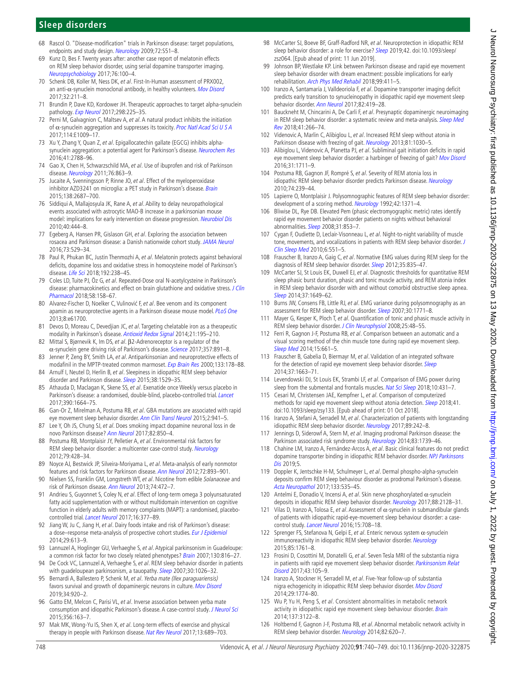## **Sleep disorders**

- <span id="page-8-0"></span>68 Rascol O. "Disease-modification" trials in Parkinson disease: target populations, endpoints and study design. [Neurology](http://dx.doi.org/10.1212/WNL.0b013e318199049e) 2009;72:S51-8.
- 69 Kunz D, Bes F. Twenty years after: another case report of melatonin effects on REM sleep behavior disorder, using serial dopamine transporter imaging. [Neuropsychobiology](http://dx.doi.org/10.1159/000488893) 2017;76:100–4.
- <span id="page-8-2"></span>70 Schenk DB, Koller M, Ness DK, et al. First-In-Human assessment of PRX002, an anti-α-synuclein monoclonal antibody, in healthy volunteers. [Mov Disord](http://dx.doi.org/10.1002/mds.26878) 2017;32:211–8.
- <span id="page-8-3"></span>71 Brundin P, Dave KD, Kordower JH. Therapeutic approaches to target alpha-synuclein pathology. [Exp Neurol](http://dx.doi.org/10.1016/j.expneurol.2017.10.003) 2017;298:225-35.
- <span id="page-8-4"></span>72 Perni M, Galvagnion C, Maltsev A, et al. A natural product inhibits the initiation of α-synuclein aggregation and suppresses its toxicity. [Proc Natl Acad Sci U S A](http://dx.doi.org/10.1073/pnas.1610586114) 2017;114:E1009–17.
- <span id="page-8-5"></span>73 Xu Y, Zhang Y, Quan Z, et al. Epigallocatechin gallate (EGCG) inhibits alpha-synuclein aggregation: a potential agent for Parkinson's disease. [Neurochem Res](http://dx.doi.org/10.1007/s11064-016-1995-9) 2016;41:2788–96.
- <span id="page-8-6"></span>74 Gao X, Chen H, Schwarzschild MA, et al. Use of ibuprofen and risk of Parkinson disease. [Neurology](http://dx.doi.org/10.1212/WNL.0b013e31820f2d79) 2011:76:863-9.
- <span id="page-8-7"></span>75 Jucaite A, Svenningsson P, Rinne JO, et al. Effect of the myeloperoxidase inhibitor AZD3241 on microglia: a PET study in Parkinson's disease. [Brain](http://dx.doi.org/10.1093/brain/awv184) 2015;138:2687–700.
- <span id="page-8-8"></span>76 Siddiqui A, Mallajosyula JK, Rane A, et al. Ability to delay neuropathological events associated with astrocytic MAO-B increase in a parkinsonian mouse model: implications for early intervention on disease progression. [Neurobiol Dis](http://dx.doi.org/10.1016/j.nbd.2010.07.004) 2010;40:444–8.
- <span id="page-8-9"></span>77 Egeberg A, Hansen PR, Gislason GH, et al. Exploring the association between rosacea and Parkinson disease: a Danish nationwide cohort study. [JAMA Neurol](http://dx.doi.org/10.1001/jamaneurol.2016.0022) 2016;73:529–34.
- <span id="page-8-10"></span>78 Paul R, Phukan BC, Justin Thenmozhi A, et al. Melatonin protects against behavioral deficits, dopamine loss and oxidative stress in homocysteine model of Parkinson's disease. [Life Sci](http://dx.doi.org/10.1016/j.lfs.2017.11.016) 2018;192:238–45.
- <span id="page-8-11"></span>79 Coles LD, Tuite PJ, Öz G, et al. Repeated-Dose oral N-acetylcysteine in Parkinson's disease: pharmacokinetics and effect on brain glutathione and oxidative stress. J Clin [Pharmacol](http://dx.doi.org/10.1002/jcph.1008) 2018;58:158–67.
- <span id="page-8-12"></span>80 Alvarez-Fischer D, Noelker C, Vulinović F, et al. Bee venom and its component apamin as neuroprotective agents in a Parkinson disease mouse model. [PLoS One](http://dx.doi.org/10.1371/journal.pone.0061700) 2013;8:e61700.
- <span id="page-8-13"></span>81 Devos D, Moreau C, Devedjian JC, et al. Targeting chelatable iron as a therapeutic modality in Parkinson's disease. [Antioxid Redox Signal](http://dx.doi.org/10.1089/ars.2013.5593) 2014;21:195–210.
- <span id="page-8-14"></span>82 Mittal S, Bjørnevik K, Im DS, et al. β2-Adrenoreceptor is a regulator of the α-synuclein gene driving risk of Parkinson's disease. [Science](http://dx.doi.org/10.1126/science.aaf3934) 2017;357:891–8.
- <span id="page-8-15"></span>83 Jenner P, Zeng BY, Smith LA, et al. Antiparkinsonian and neuroprotective effects of modafinil in the MPTP-treated common marmoset. [Exp Brain Res](http://dx.doi.org/10.1007/s002210000370) 2000;133:178-88.
- <span id="page-8-16"></span>84 Arnulf I, Neutel D, Herlin B, et al. Sleepiness in idiopathic REM sleep behavior disorder and Parkinson disease. [Sleep](http://dx.doi.org/10.5665/sleep.5040) 2015;38:1529-35.
- <span id="page-8-17"></span>85 Athauda D, Maclagan K, Skene SS, et al. Exenatide once Weekly versus placebo in Parkinson's disease: a randomised, double-blind, placebo-controlled trial. [Lancet](http://dx.doi.org/10.1016/S0140-6736(17)31585-4) 2017;390:1664–75.
- <span id="page-8-18"></span>86 Gan-Or Z, Mirelman A, Postuma RB, et al. GBA mutations are associated with rapid eye movement sleep behavior disorder. [Ann Clin Transl Neurol](http://dx.doi.org/10.1002/acn3.228) 2015;2:941–5.
- <span id="page-8-19"></span>87 Lee Y, Oh JS, Chung SJ, et al. Does smoking impact dopamine neuronal loss in de novo Parkinson disease? [Ann Neurol](http://dx.doi.org/10.1002/ana.25082) 2017;82:850–4.
- <span id="page-8-20"></span>88 Postuma RB, Montplaisir JY, Pelletier A, et al. Environmental risk factors for REM sleep behavior disorder: a multicenter case-control study. [Neurology](http://dx.doi.org/10.1212/WNL.0b013e31825dd383) 2012;79:428–34.
- <span id="page-8-21"></span>89 Noyce AJ, Bestwick JP, Silveira-Moriyama L, et al. Meta-analysis of early nonmotor features and risk factors for Parkinson disease. [Ann Neurol](http://dx.doi.org/10.1002/ana.23687) 2012;72:893–901.
- <span id="page-8-22"></span>90 Nielsen SS, Franklin GM, Longstreth WT, et al. Nicotine from edible Solanaceae and risk of Parkinson disease. [Ann Neurol](http://dx.doi.org/10.1002/ana.23884) 2013;74:472–7.
- <span id="page-8-23"></span>91 Andrieu S, Guyonnet S, Coley N, et al. Effect of long-term omega 3 polyunsaturated fatty acid supplementation with or without multidomain intervention on cognitive function in elderly adults with memory complaints (MAPT): a randomised, placebocontrolled trial. [Lancet Neurol](http://dx.doi.org/10.1016/S1474-4422(17)30040-6) 2017;16:377–89.
- <span id="page-8-24"></span>92 Jiang W, Ju C, Jiang H, et al. Dairy foods intake and risk of Parkinson's disease: a dose–response meta-analysis of prospective cohort studies. [Eur J Epidemiol](http://dx.doi.org/10.1007/s10654-014-9921-4) 2014;29:613–9.
- <span id="page-8-25"></span>93 Lannuzel A, Hoglinger GU, Verhaeghe S, et al. Atypical parkinsonism in Guadeloupe: a common risk factor for two closely related phenotypes? [Brain](http://dx.doi.org/10.1093/brain/awl347) 2007;130:816-27.
- <span id="page-8-26"></span>94 De Cock VC, Lannuzel A, Verhaeghe S, et al. REM sleep behavior disorder in patients with guadeloupean parkinsonism, a tauopathy. [Sleep](http://dx.doi.org/10.1093/sleep/30.8.1026) 2007;30:1026-32.
- <span id="page-8-27"></span>95 Bernardi A, Ballestero P, Schenk M, et al. Yerba mate (Ilex paraguariensis) favors survival and growth of dopaminergic neurons in culture. [Mov Disord](http://dx.doi.org/10.1002/mds.27667) 2019;34:920–2.
- 96 Gatto EM, Melcon C, Parisi VL, et al. Inverse association between yerba mate consumption and idiopathic Parkinson's disease. A case-control study. [J Neurol Sci](http://dx.doi.org/10.1016/j.jns.2015.06.043) 2015;356:163–7.
- <span id="page-8-28"></span>97 Mak MK, Wong-Yu IS, Shen X, et al. Long-term effects of exercise and physical therapy in people with Parkinson disease. [Nat Rev Neurol](http://dx.doi.org/10.1038/nrneurol.2017.128) 2017;13:689-703.
- 98 McCarter SJ, Boeve BF, Graff-Radford NR, et al. Neuroprotection in idiopathic REM sleep behavior disorder: a role for exercise? [Sleep](http://dx.doi.org/10.1093/sleep/zsz064) 2019;42. doi:10.1093/sleep/ zsz064. [Epub ahead of print: 11 Jun 2019].
- 99 Johnson BP, Westlake KP. Link between Parkinson disease and rapid eye movement sleep behavior disorder with dream enactment: possible implications for early rehabilitation. [Arch Phys Med Rehabil](http://dx.doi.org/10.1016/j.apmr.2017.08.468) 2018;99:411–5.
- <span id="page-8-1"></span>100 Iranzo A, Santamaría J, Valldeoriola F, et al. Dopamine transporter imaging deficit predicts early transition to synucleinopathy in idiopathic rapid eye movement sleep behavior disorder. [Ann Neurol](http://dx.doi.org/10.1002/ana.25026) 2017;82:419–28.
- <span id="page-8-29"></span>101 Bauckneht M, Chincarini A, De Carli F, et al. Presynaptic dopaminergic neuroimaging in REM sleep behavior disorder: a systematic review and meta-analysis. Sleep Med [Rev](http://dx.doi.org/10.1016/j.smrv.2018.04.001) 2018;41:266–74.
- <span id="page-8-30"></span>102 Videnovic A, Marlin C, Alibiglou L, et al. Increased REM sleep without atonia in Parkinson disease with freezing of gait. [Neurology](http://dx.doi.org/10.1212/WNL.0b013e3182a4a408) 2013;81:1030-5
- 103 Alibiglou L, Videnovic A, Planetta PJ, et al. Subliminal gait initiation deficits in rapid eye movement sleep behavior disorder: a harbinger of freezing of gait? [Mov Disord](http://dx.doi.org/10.1002/mds.26665) 2016;31:1711–9.
- <span id="page-8-31"></span>104 Postuma RB, Gagnon JF, Rompré S, et al. Severity of REM atonia loss in idiopathic REM sleep behavior disorder predicts Parkinson disease. [Neurology](http://dx.doi.org/10.1212/WNL.0b013e3181ca0166) 2010;74:239–44.
- <span id="page-8-32"></span>105 Lapierre O, Montplaisir J. Polysomnographic features of REM sleep behavior disorder: development of a scoring method. [Neurology](http://dx.doi.org/10.1212/WNL.42.7.1371) 1992;42:1371-4.
- 106 Bliwise DL, Rye DB. Elevated Pem (phasic electromyographic metric) rates identify rapid eye movement behavior disorder patients on nights without behavioral abnormalities. [Sleep](http://dx.doi.org/10.1093/sleep/31.6.853) 2008;31:853-7.
- 107 Cygan F, Oudiette D, Leclair-Visonneau L, et al. Night-to-night variability of muscle tone, movements, and vocalizations in patients with REM sleep behavior disorder. J [Clin Sleep Med](http://dx.doi.org/10.5664/jcsm.27988) 2010;6:551–5.
- 108 Frauscher B, Iranzo A, Gaig C, et al. Normative EMG values during REM sleep for the diagnosis of REM sleep behavior disorder. [Sleep](http://dx.doi.org/10.5665/sleep.1886) 2012;35:835-47.
- 109 McCarter SJ, St Louis EK, Duwell EJ, et al. Diagnostic thresholds for quantitative REM sleep phasic burst duration, phasic and tonic muscle activity, and REM atonia index in REM sleep behavior disorder with and without comorbid obstructive sleep apnea. [Sleep](http://dx.doi.org/10.5665/sleep.4074) 2014;37:1649–62.
- 110 Burns JW, Consens FB, Little RJ, et al. EMG variance during polysomnography as an assessment for REM sleep behavior disorder. [Sleep](http://dx.doi.org/10.1093/sleep/30.12.1771) 2007;30:1771-8.
- Mayer G, Kesper K, Ploch T, et al. Quantification of tonic and phasic muscle activity in REM sleep behavior disorder. [J Clin Neurophysiol](http://dx.doi.org/10.1097/WNP.0b013e318162acd7) 2008;25:48-55.
- 112 Ferri R, Gagnon J-F, Postuma RB, et al. Comparison between an automatic and a visual scoring method of the chin muscle tone during rapid eye movement sleep. [Sleep Med](http://dx.doi.org/10.1016/j.sleep.2013.12.022) 2014;15:661–5.
- 113 Frauscher B, Gabelia D, Biermayr M, et al. Validation of an integrated software for the detection of rapid eye movement sleep behavior disorder. [Sleep](http://dx.doi.org/10.5665/sleep.4076) 2014;37:1663–71.
- <span id="page-8-33"></span>114 Levendowski DJ, St Louis EK, Strambi LF, et al. Comparison of EMG power during sleep from the submental and frontalis muscles. [Nat Sci Sleep](http://dx.doi.org/10.2147/NSS.S189167) 2018;10:431-7.
- <span id="page-8-34"></span>115 Cesari M, Christensen JAE, Kempfner L, et al. Comparison of computerized methods for rapid eye movement sleep without atonia detection. [Sleep](http://dx.doi.org/10.1093/sleep/zsy133) 2018;41. doi:10.1093/sleep/zsy133. [Epub ahead of print: 01 Oct 2018].
- 116 Iranzo A, Stefani A, Serradell M, et al. Characterization of patients with longstanding idiopathic REM sleep behavior disorder. [Neurology](http://dx.doi.org/10.1212/WNL.0000000000004121) 2017;89:242–8.
- <span id="page-8-35"></span>117 Jennings D, Siderowf A, Stern M, et al. Imaging prodromal Parkinson disease: the Parkinson associated risk syndrome study. [Neurology](http://dx.doi.org/10.1212/WNL.0000000000000960) 2014;83:1739-46.
- <span id="page-8-36"></span>118 Chahine LM, Iranzo A, Fernández-Arcos A, et al. Basic clinical features do not predict dopamine transporter binding in idiopathic REM behavior disorder. NPJ Parkinsons [Dis](http://dx.doi.org/10.1038/s41531-018-0073-1) 2019:5.
- <span id="page-8-37"></span>119 Doppler K, Jentschke H-M, Schulmeyer L, et al. Dermal phospho-alpha-synuclein deposits confirm REM sleep behaviour disorder as prodromal Parkinson's disease. [Acta Neuropathol](http://dx.doi.org/10.1007/s00401-017-1684-z) 2017;133:535–45.
- 120 Antelmi E, Donadio V, Incensi A, et al. Skin nerve phosphorylated  $\alpha$ -synuclein deposits in idiopathic REM sleep behavior disorder. [Neurology](http://dx.doi.org/10.1212/WNL.0000000000003989) 2017;88:2128–31.
- <span id="page-8-38"></span>121 Vilas D, Iranzo A, Tolosa E, et al. Assessment of  $\alpha$ -synuclein in submandibular glands of patients with idiopathic rapid-eye-movement sleep behaviour disorder: a case-control study. [Lancet Neurol](http://dx.doi.org/10.1016/S1474-4422(16)00080-6) 2016;15:708-18.
- <span id="page-8-39"></span>122 Sprenger FS, Stefanova N, Gelpi E, et al. Enteric nervous system α-synuclein immunoreactivity in idiopathic REM sleep behavior disorder. [Neurology](http://dx.doi.org/10.1212/WNL.0000000000002126) 2015;85:1761–8.
- <span id="page-8-40"></span>123 Frosini D, Cosottini M, Donatelli G, et al. Seven Tesla MRI of the substantia nigra in patients with rapid eye movement sleep behavior disorder. Parkinsonism Relat [Disord](http://dx.doi.org/10.1016/j.parkreldis.2017.08.002) 2017;43:105–9.
- <span id="page-8-41"></span>124 Iranzo A, Stockner H, Serradell M, et al. Five-Year follow-up of substantia nigra echogenicity in idiopathic REM sleep behavior disorder. [Mov Disord](http://dx.doi.org/10.1002/mds.26055) 2014;29:1774–80.
- <span id="page-8-42"></span>125 Wu P, Yu H, Peng S, et al. Consistent abnormalities in metabolic network activity in idiopathic rapid eye movement sleep behaviour disorder. [Brain](http://dx.doi.org/10.1093/brain/awu290) 2014;137:3122–8.
- 126 Holtbernd F, Gagnon J-F, Postuma RB, et al. Abnormal metabolic network activity in REM sleep behavior disorder. *[Neurology](http://dx.doi.org/10.1212/WNL.0000000000000130)* 2014;82:620-7.